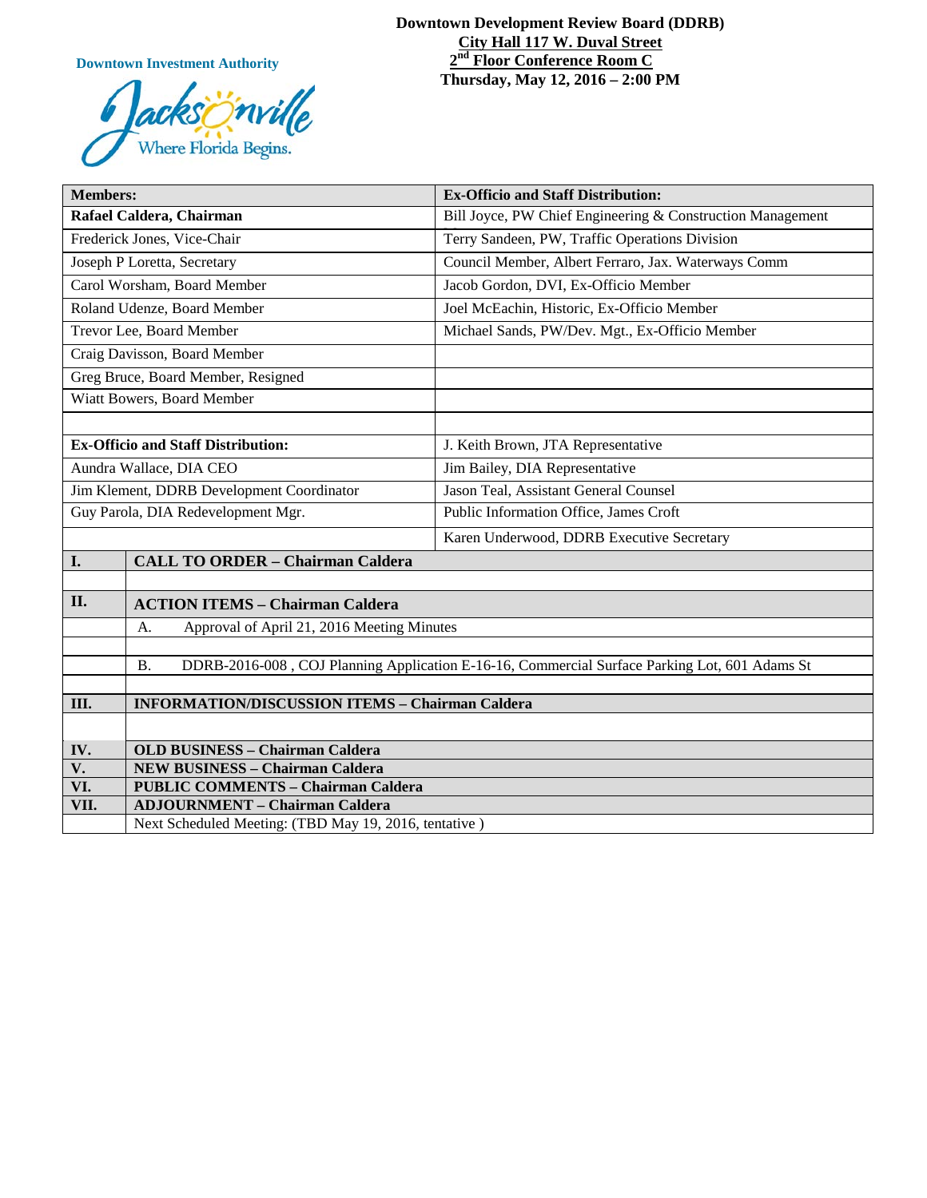**Downtown Investment Authority**



#### **Downtown Development Review Board (DDRB) City Hall 117 W. Duval Street 2nd Floor Conference Room C Thursday, May 12, 2016 – 2:00 PM**

| <b>Members:</b>                           |                                                                                                            | <b>Ex-Officio and Staff Distribution:</b>                  |
|-------------------------------------------|------------------------------------------------------------------------------------------------------------|------------------------------------------------------------|
| Rafael Caldera, Chairman                  |                                                                                                            | Bill Joyce, PW Chief Engineering & Construction Management |
| Frederick Jones, Vice-Chair               |                                                                                                            | Terry Sandeen, PW, Traffic Operations Division             |
| Joseph P Loretta, Secretary               |                                                                                                            | Council Member, Albert Ferraro, Jax. Waterways Comm        |
| Carol Worsham, Board Member               |                                                                                                            | Jacob Gordon, DVI, Ex-Officio Member                       |
| Roland Udenze, Board Member               |                                                                                                            | Joel McEachin, Historic, Ex-Officio Member                 |
| Trevor Lee, Board Member                  |                                                                                                            | Michael Sands, PW/Dev. Mgt., Ex-Officio Member             |
| Craig Davisson, Board Member              |                                                                                                            |                                                            |
| Greg Bruce, Board Member, Resigned        |                                                                                                            |                                                            |
| Wiatt Bowers, Board Member                |                                                                                                            |                                                            |
|                                           |                                                                                                            |                                                            |
| <b>Ex-Officio and Staff Distribution:</b> |                                                                                                            | J. Keith Brown, JTA Representative                         |
| Aundra Wallace, DIA CEO                   |                                                                                                            | Jim Bailey, DIA Representative                             |
| Jim Klement, DDRB Development Coordinator |                                                                                                            | Jason Teal, Assistant General Counsel                      |
| Guy Parola, DIA Redevelopment Mgr.        |                                                                                                            | Public Information Office, James Croft                     |
|                                           |                                                                                                            | Karen Underwood, DDRB Executive Secretary                  |
| I.                                        | <b>CALL TO ORDER - Chairman Caldera</b>                                                                    |                                                            |
|                                           |                                                                                                            |                                                            |
| II.                                       | <b>ACTION ITEMS - Chairman Caldera</b>                                                                     |                                                            |
|                                           | Approval of April 21, 2016 Meeting Minutes<br>A.                                                           |                                                            |
|                                           |                                                                                                            |                                                            |
|                                           | DDRB-2016-008, COJ Planning Application E-16-16, Commercial Surface Parking Lot, 601 Adams St<br><b>B.</b> |                                                            |
| Ш.                                        | <b>INFORMATION/DISCUSSION ITEMS - Chairman Caldera</b>                                                     |                                                            |
|                                           |                                                                                                            |                                                            |
| IV.                                       | <b>OLD BUSINESS - Chairman Caldera</b>                                                                     |                                                            |
| V.                                        | <b>NEW BUSINESS - Chairman Caldera</b>                                                                     |                                                            |
| VI.                                       | <b>PUBLIC COMMENTS - Chairman Caldera</b>                                                                  |                                                            |
| VII.                                      | <b>ADJOURNMENT - Chairman Caldera</b>                                                                      |                                                            |
|                                           | Next Scheduled Meeting: (TBD May 19, 2016, tentative)                                                      |                                                            |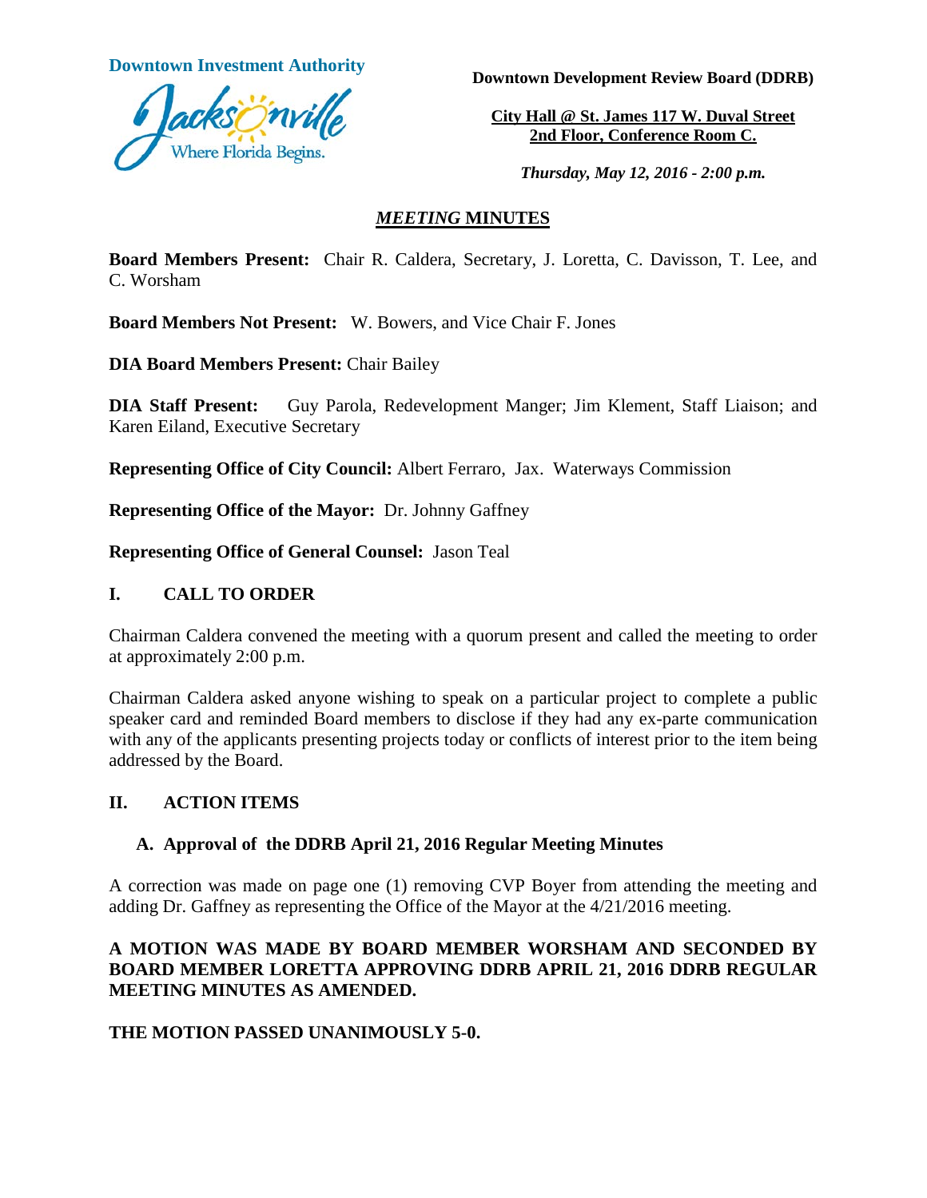

**Downtown Investment Authority**<br>**Downtown Development Review Board (DDRB)** 

**City Hall @ St. James 117 W. Duval Street 2nd Floor, Conference Room C.** 

*Thursday, May 12, 2016 - 2:00 p.m.*

## *MEETING* **MINUTES**

**Board Members Present:** Chair R. Caldera, Secretary, J. Loretta, C. Davisson, T. Lee, and C. Worsham

**Board Members Not Present:** W. Bowers, and Vice Chair F. Jones

**DIA Board Members Present:** Chair Bailey

**DIA Staff Present:** Guy Parola, Redevelopment Manger; Jim Klement, Staff Liaison; and Karen Eiland, Executive Secretary

**Representing Office of City Council:** Albert Ferraro, Jax. Waterways Commission

**Representing Office of the Mayor:** Dr. Johnny Gaffney

**Representing Office of General Counsel:** Jason Teal

#### **I. CALL TO ORDER**

Chairman Caldera convened the meeting with a quorum present and called the meeting to order at approximately 2:00 p.m.

Chairman Caldera asked anyone wishing to speak on a particular project to complete a public speaker card and reminded Board members to disclose if they had any ex-parte communication with any of the applicants presenting projects today or conflicts of interest prior to the item being addressed by the Board.

# **II. ACTION ITEMS**

# **A. Approval of the DDRB April 21, 2016 Regular Meeting Minutes**

A correction was made on page one (1) removing CVP Boyer from attending the meeting and adding Dr. Gaffney as representing the Office of the Mayor at the 4/21/2016 meeting.

# **A MOTION WAS MADE BY BOARD MEMBER WORSHAM AND SECONDED BY BOARD MEMBER LORETTA APPROVING DDRB APRIL 21, 2016 DDRB REGULAR MEETING MINUTES AS AMENDED.**

# **THE MOTION PASSED UNANIMOUSLY 5-0.**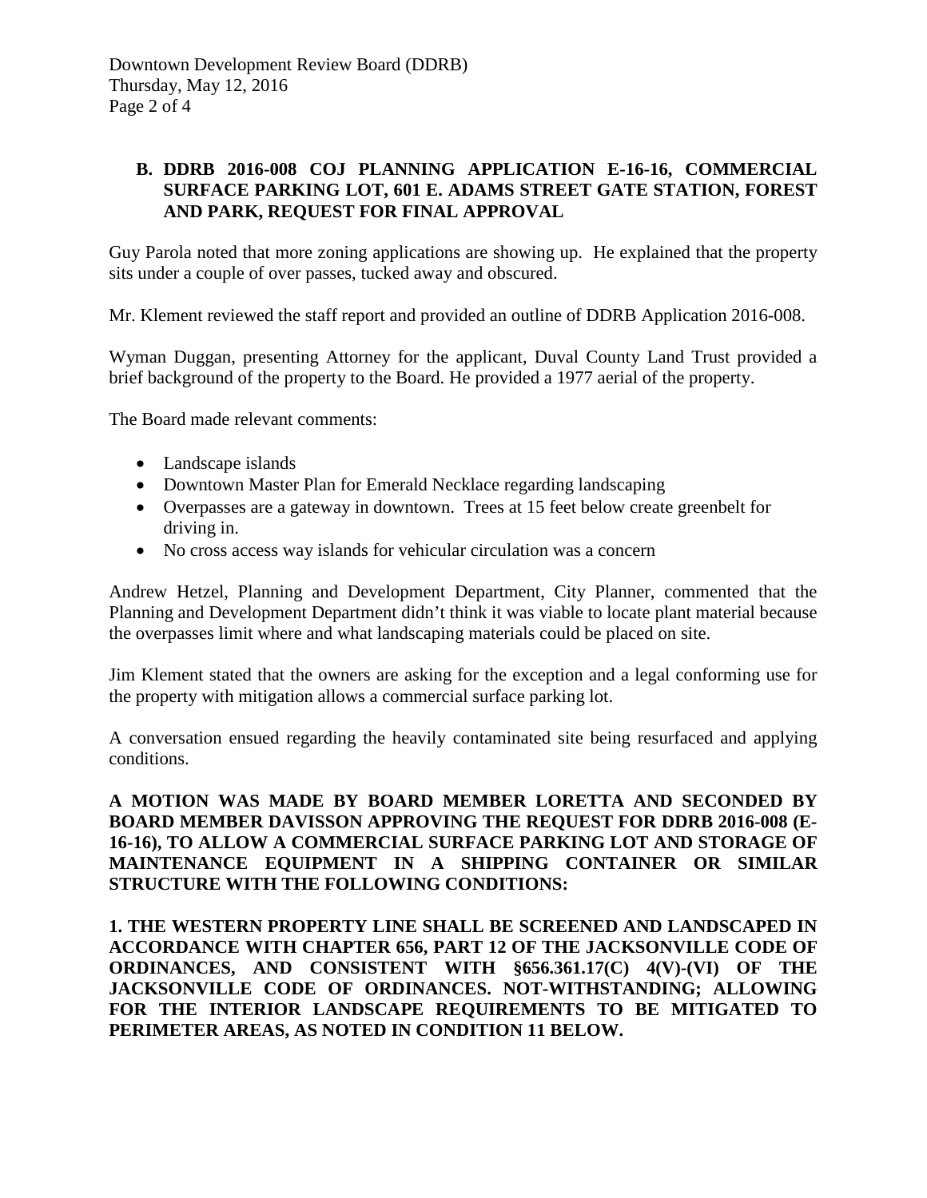# **B. DDRB 2016-008 COJ PLANNING APPLICATION E-16-16, COMMERCIAL SURFACE PARKING LOT, 601 E. ADAMS STREET GATE STATION, FOREST AND PARK, REQUEST FOR FINAL APPROVAL**

Guy Parola noted that more zoning applications are showing up. He explained that the property sits under a couple of over passes, tucked away and obscured.

Mr. Klement reviewed the staff report and provided an outline of DDRB Application 2016-008.

Wyman Duggan, presenting Attorney for the applicant, Duval County Land Trust provided a brief background of the property to the Board. He provided a 1977 aerial of the property.

The Board made relevant comments:

- Landscape islands
- Downtown Master Plan for Emerald Necklace regarding landscaping
- Overpasses are a gateway in downtown. Trees at 15 feet below create greenbelt for driving in.
- No cross access way islands for vehicular circulation was a concern

Andrew Hetzel, Planning and Development Department, City Planner, commented that the Planning and Development Department didn't think it was viable to locate plant material because the overpasses limit where and what landscaping materials could be placed on site.

Jim Klement stated that the owners are asking for the exception and a legal conforming use for the property with mitigation allows a commercial surface parking lot.

A conversation ensued regarding the heavily contaminated site being resurfaced and applying conditions.

**A MOTION WAS MADE BY BOARD MEMBER LORETTA AND SECONDED BY BOARD MEMBER DAVISSON APPROVING THE REQUEST FOR DDRB 2016-008 (E-16-16), TO ALLOW A COMMERCIAL SURFACE PARKING LOT AND STORAGE OF MAINTENANCE EQUIPMENT IN A SHIPPING CONTAINER OR SIMILAR STRUCTURE WITH THE FOLLOWING CONDITIONS:** 

**1. THE WESTERN PROPERTY LINE SHALL BE SCREENED AND LANDSCAPED IN ACCORDANCE WITH CHAPTER 656, PART 12 OF THE JACKSONVILLE CODE OF ORDINANCES, AND CONSISTENT WITH §656.361.17(C) 4(V)-(VI) OF THE JACKSONVILLE CODE OF ORDINANCES. NOT-WITHSTANDING; ALLOWING FOR THE INTERIOR LANDSCAPE REQUIREMENTS TO BE MITIGATED TO PERIMETER AREAS, AS NOTED IN CONDITION 11 BELOW.**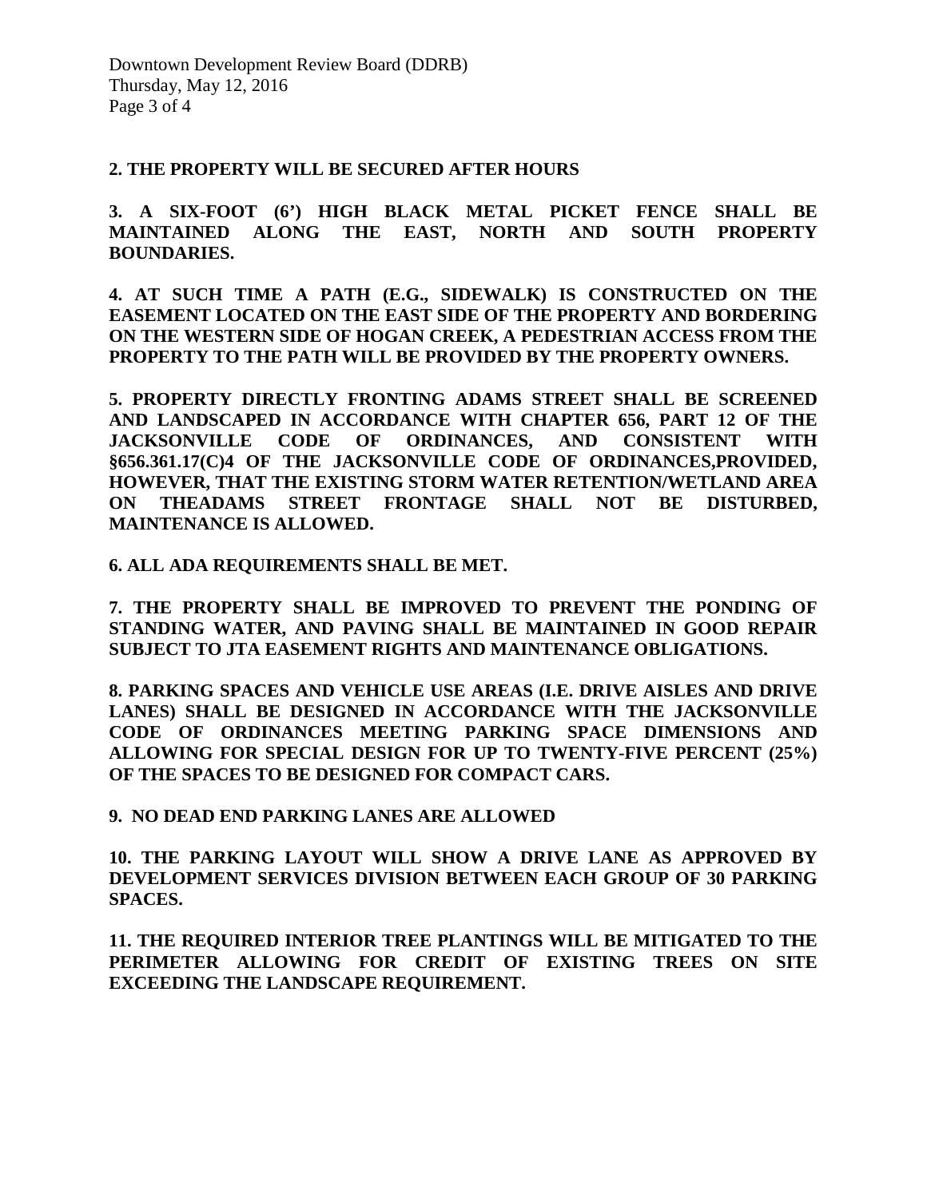#### **2. THE PROPERTY WILL BE SECURED AFTER HOURS**

**3. A SIX-FOOT (6') HIGH BLACK METAL PICKET FENCE SHALL BE MAINTAINED ALONG THE EAST, NORTH AND SOUTH PROPERTY BOUNDARIES.**

**4. AT SUCH TIME A PATH (E.G., SIDEWALK) IS CONSTRUCTED ON THE EASEMENT LOCATED ON THE EAST SIDE OF THE PROPERTY AND BORDERING ON THE WESTERN SIDE OF HOGAN CREEK, A PEDESTRIAN ACCESS FROM THE PROPERTY TO THE PATH WILL BE PROVIDED BY THE PROPERTY OWNERS.**

**5. PROPERTY DIRECTLY FRONTING ADAMS STREET SHALL BE SCREENED AND LANDSCAPED IN ACCORDANCE WITH CHAPTER 656, PART 12 OF THE JACKSONVILLE CODE OF ORDINANCES, AND CONSISTENT WITH §656.361.17(C)4 OF THE JACKSONVILLE CODE OF ORDINANCES,PROVIDED, HOWEVER, THAT THE EXISTING STORM WATER RETENTION/WETLAND AREA ON THEADAMS STREET FRONTAGE SHALL NOT BE DISTURBED, MAINTENANCE IS ALLOWED.**

**6. ALL ADA REQUIREMENTS SHALL BE MET.**

**7. THE PROPERTY SHALL BE IMPROVED TO PREVENT THE PONDING OF STANDING WATER, AND PAVING SHALL BE MAINTAINED IN GOOD REPAIR SUBJECT TO JTA EASEMENT RIGHTS AND MAINTENANCE OBLIGATIONS.**

**8. PARKING SPACES AND VEHICLE USE AREAS (I.E. DRIVE AISLES AND DRIVE LANES) SHALL BE DESIGNED IN ACCORDANCE WITH THE JACKSONVILLE CODE OF ORDINANCES MEETING PARKING SPACE DIMENSIONS AND ALLOWING FOR SPECIAL DESIGN FOR UP TO TWENTY-FIVE PERCENT (25%) OF THE SPACES TO BE DESIGNED FOR COMPACT CARS.**

**9. NO DEAD END PARKING LANES ARE ALLOWED**

**10. THE PARKING LAYOUT WILL SHOW A DRIVE LANE AS APPROVED BY DEVELOPMENT SERVICES DIVISION BETWEEN EACH GROUP OF 30 PARKING SPACES.**

**11. THE REQUIRED INTERIOR TREE PLANTINGS WILL BE MITIGATED TO THE PERIMETER ALLOWING FOR CREDIT OF EXISTING TREES ON SITE EXCEEDING THE LANDSCAPE REQUIREMENT.**